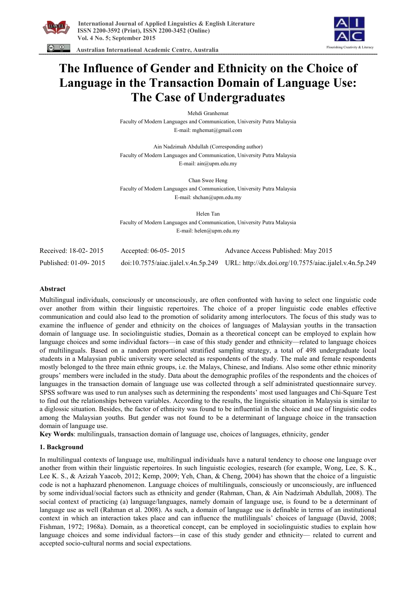

 **Australian International Academic Centre, Australia** 



# **The Influence of Gender and Ethnicity on the Choice of Language in the Transaction Domain of Language Use: The Case of Undergraduates**

Mehdi Granhemat

Faculty of Modern Languages and Communication, University Putra Malaysia E-mail: mghemat@gmail.com

Ain Nadzimah Abdullah (Corresponding author) Faculty of Modern Languages and Communication, University Putra Malaysia E-mail: ain@upm.edu.my

Chan Swee Heng Faculty of Modern Languages and Communication, University Putra Malaysia E-mail: shchan@upm.edu.my

Helen Tan Faculty of Modern Languages and Communication, University Putra Malaysia E-mail: helen@upm.edu.my

| Received: 18-02-2015  | Accepted: 06-05-2015 | Advance Access Published: May 2015                                                         |
|-----------------------|----------------------|--------------------------------------------------------------------------------------------|
| Published: 01-09-2015 |                      | doi:10.7575/aiac.ijalel.v.4n.5p.249 URL: http://dx.doi.org/10.7575/aiac.ijalel.v.4n.5p.249 |

## **Abstract**

Multilingual individuals, consciously or unconsciously, are often confronted with having to select one linguistic code over another from within their linguistic repertoires. The choice of a proper linguistic code enables effective communication and could also lead to the promotion of solidarity among interlocutors. The focus of this study was to examine the influence of gender and ethnicity on the choices of languages of Malaysian youths in the transaction domain of language use. In sociolinguistic studies, Domain as a theoretical concept can be employed to explain how language choices and some individual factors—in case of this study gender and ethnicity—related to language choices of multilinguals. Based on a random proportional stratified sampling strategy, a total of 498 undergraduate local students in a Malaysian public university were selected as respondents of the study. The male and female respondents mostly belonged to the three main ethnic groups, i.e. the Malays, Chinese, and Indians. Also some other ethnic minority groups' members were included in the study. Data about the demographic profiles of the respondents and the choices of languages in the transaction domain of language use was collected through a self administrated questionnaire survey. SPSS software was used to run analyses such as determining the respondents' most used languages and Chi-Square Test to find out the relationships between variables. According to the results, the linguistic situation in Malaysia is similar to a diglossic situation. Besides, the factor of ethnicity was found to be influential in the choice and use of linguistic codes among the Malaysian youths. But gender was not found to be a determinant of language choice in the transaction domain of language use.

**Key Words**: multilinguals, transaction domain of language use, choices of languages, ethnicity, gender

# **1. Background**

In multilingual contexts of language use, multilingual individuals have a natural tendency to choose one language over another from within their linguistic repertoires. In such linguistic ecologies, research (for example, Wong, Lee, S. K., Lee K. S., & Azizah Yaacob, 2012; Kemp, 2009; Yeh, Chan, & Cheng, 2004) has shown that the choice of a linguistic code is not a haphazard phenomenon. Language choices of multilinguals, consciously or unconsciously, are influenced by some individual/social factors such as ethnicity and gender (Rahman, Chan, & Ain Nadzimah Abdullah, 2008). The social context of practicing (a) language/languages, namely domain of language use, is found to be a determinant of language use as well (Rahman et al. 2008). As such, a domain of language use is definable in terms of an institutional context in which an interaction takes place and can influence the mutlilinguals' choices of language (David, 2008; Fishman, 1972; 1968a). Domain, as a theoretical concept, can be employed in sociolinguistic studies to explain how language choices and some individual factors—in case of this study gender and ethnicity— related to current and accepted socio-cultural norms and social expectations.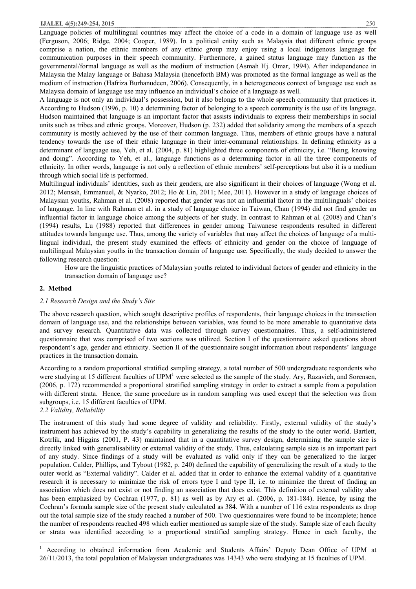## **IJALEL 4(5):249-254, 2015** 250

Language policies of multilingual countries may affect the choice of a code in a domain of language use as well (Ferguson, 2006; Ridge, 2004; Cooper, 1989). In a political entity such as Malaysia that different ethnic groups comprise a nation, the ethnic members of any ethnic group may enjoy using a local indigenous language for communication purposes in their speech community. Furthermore, a gained status language may function as the governmental/formal language as well as the medium of instruction (Asmah Hj. Omar, 1994). After independence in Malaysia the Malay language or Bahasa Malaysia (henceforth BM) was promoted as the formal language as well as the medium of instruction (Hafriza Burhanudeen, 2006). Consequently, in a heterogeneous context of language use such as Malaysia domain of language use may influence an individual's choice of a language as well.

A language is not only an individual's possession, but it also belongs to the whole speech community that practices it. According to Hudson (1996, p. 10) a determining factor of belonging to a speech community is the use of its language. Hudson maintained that language is an important factor that assists individuals to express their memberships in social units such as tribes and ethnic groups. Moreover, Hudson (p. 232) added that solidarity among the members of a speech community is mostly achieved by the use of their common language. Thus, members of ethnic groups have a natural tendency towards the use of their ethnic language in their inter-communal relationships. In defining ethnicity as a determinant of language use, Yeh, et al. (2004, p. 81) highlighted three components of ethnicity, i.e. "Being, knowing and doing". According to Yeh, et al., language functions as a determining factor in all the three components of ethnicity. In other words, language is not only a reflection of ethnic members' self-perceptions but also it is a medium through which social life is performed.

Multilingual individuals' identities, such as their genders, are also significant in their choices of language (Wong et al. 2012; Mensah, Emmanuel, & Nyarko, 2012; Ho & Lin, 2011; Mee, 2011). However in a study of language choices of Malaysian youths, Rahman et al. (2008) reported that gender was not an influential factor in the multilinguals' choices of language. In line with Rahman et al. in a study of language choice in Taiwan, Chan (1994) did not find gender an influential factor in language choice among the subjects of her study. In contrast to Rahman et al. (2008) and Chan's (1994) results, Lu (1988) reported that differences in gender among Taiwanese respondents resulted in different attitudes towards language use. Thus, among the variety of variables that may affect the choices of language of a multilingual individual, the present study examined the effects of ethnicity and gender on the choice of language of multilingual Malaysian youths in the transaction domain of language use. Specifically, the study decided to answer the following research question:

How are the linguistic practices of Malaysian youths related to individual factors of gender and ethnicity in the transaction domain of language use?

#### **2. Method**

#### *2.1 Research Design and the Study's Site*

The above research question, which sought descriptive profiles of respondents, their language choices in the transaction domain of language use, and the relationships between variables, was found to be more amenable to quantitative data and survey research. Quantitative data was collected through survey questionnaires. Thus, a self-administered questionnaire that was comprised of two sections was utilized. Section I of the questionnaire asked questions about respondent's age, gender and ethnicity. Section II of the questionnaire sought information about respondents' language practices in the transaction domain.

According to a random proportional stratified sampling strategy, a total number of 500 undergraduate respondents who were studying at 15 different faculties of UPM<sup>1</sup> were selected as the sample of the study. Ary, Razavieh, and Sorensen, (2006, p. 172) recommended a proportional stratified sampling strategy in order to extract a sample from a population with different strata. Hence, the same procedure as in random sampling was used except that the selection was from subgroups, i.e. 15 different faculties of UPM.

*2.2 Validity, Reliability* 

 $\overline{a}$ 

The instrument of this study had some degree of validity and reliability. Firstly, external validity of the study's instrument has achieved by the study's capability in generalizing the results of the study to the outer world. Bartlett, Kotrlik, and Higgins (2001, P. 43) maintained that in a quantitative survey design, determining the sample size is directly linked with generalisability or external validity of the study. Thus, calculating sample size is an important part of any study. Since findings of a study will be evaluated as valid only if they can be generalized to the larger population. Calder, Phillips, and Tybout (1982, p. 240) defined the capability of generalizing the result of a study to the outer world as "External validity". Calder et al. added that in order to enhance the external validity of a quantitative research it is necessary to minimize the risk of errors type I and type II, i.e. to minimize the threat of finding an association which does not exist or not finding an association that does exist. This definition of external validity also has been emphasized by Cochran (1977, p. 81) as well as by Ary et al. (2006, p. 181-184). Hence, by using the Cochran's formula sample size of the present study calculated as 384. With a number of 116 extra respondents as drop out the total sample size of the study reached a number of 500. Two questionnaires were found to be incomplete; hence the number of respondents reached 498 which earlier mentioned as sample size of the study. Sample size of each faculty or strata was identified according to a proportional stratified sampling strategy. Hence in each faculty, the

<sup>&</sup>lt;sup>1</sup> According to obtained information from Academic and Students Affairs' Deputy Dean Office of UPM at 26/11/2013, the total population of Malaysian undergraduates was 14343 who were studying at 15 faculties of UPM.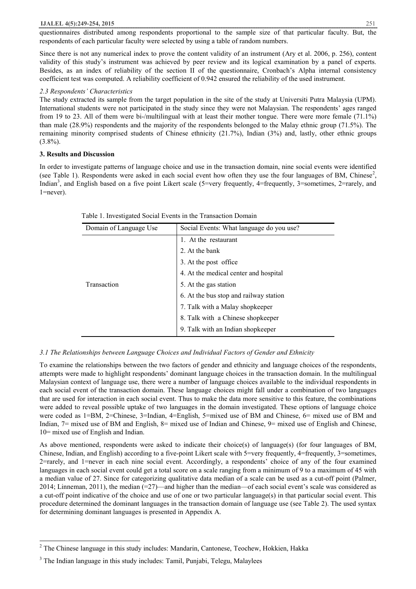#### **IJALEL 4(5):249-254, 2015** 251

questionnaires distributed among respondents proportional to the sample size of that particular faculty. But, the respondents of each particular faculty were selected by using a table of random numbers.

Since there is not any numerical index to prove the content validity of an instrument (Ary et al. 2006, p. 256), content validity of this study's instrument was achieved by peer review and its logical examination by a panel of experts. Besides, as an index of reliability of the section II of the questionnaire, Cronbach's Alpha internal consistency coefficient test was computed. A reliability coefficient of 0.942 ensured the reliability of the used instrument.

## *2.3 Respondents' Characteristics*

The study extracted its sample from the target population in the site of the study at Universiti Putra Malaysia (UPM). International students were not participated in the study since they were not Malaysian. The respondents' ages ranged from 19 to 23. All of them were bi-/multilingual with at least their mother tongue. There were more female (71.1%) than male (28.9%) respondents and the majority of the respondents belonged to the Malay ethnic group (71.5%). The remaining minority comprised students of Chinese ethnicity (21.7%), Indian (3%) and, lastly, other ethnic groups  $(3.8\%)$ .

## **3. Results and Discussion**

 $\overline{a}$ 

In order to investigate patterns of language choice and use in the transaction domain, nine social events were identified (see Table 1). Respondents were asked in each social event how often they use the four languages of BM, Chinese<sup>2</sup>, Indian<sup>3</sup>, and English based on a five point Likert scale (5=very frequently, 4=frequently, 3=sometimes, 2=rarely, and 1=never).

| Domain of Language Use | Social Events: What language do you use? |
|------------------------|------------------------------------------|
|                        | 1. At the restaurant                     |
|                        | 2. At the bank                           |
|                        | 3. At the post office                    |
|                        | 4. At the medical center and hospital    |
| Transaction            | 5. At the gas station                    |
|                        | 6. At the bus stop and railway station   |
|                        | 7. Talk with a Malay shopkeeper          |
|                        | 8. Talk with a Chinese shopkeeper        |
|                        | 9. Talk with an Indian shopkeeper        |

Table 1. Investigated Social Events in the Transaction Domain

# *3.1 The Relationships between Language Choices and Individual Factors of Gender and Ethnicity*

To examine the relationships between the two factors of gender and ethnicity and language choices of the respondents, attempts were made to highlight respondents' dominant language choices in the transaction domain. In the multilingual Malaysian context of language use, there were a number of language choices available to the individual respondents in each social event of the transaction domain. These language choices might fall under a combination of two languages that are used for interaction in each social event. Thus to make the data more sensitive to this feature, the combinations were added to reveal possible uptake of two languages in the domain investigated. These options of language choice were coded as 1=BM, 2=Chinese, 3=Indian, 4=English, 5=mixed use of BM and Chinese, 6= mixed use of BM and Indian, 7= mixed use of BM and English, 8= mixed use of Indian and Chinese, 9= mixed use of English and Chinese, 10= mixed use of English and Indian.

As above mentioned, respondents were asked to indicate their choice(s) of language(s) (for four languages of BM, Chinese, Indian, and English) according to a five-point Likert scale with 5=very frequently, 4=frequently, 3=sometimes, 2=rarely, and 1=never in each nine social event. Accordingly, a respondents' choice of any of the four examined languages in each social event could get a total score on a scale ranging from a minimum of 9 to a maximum of 45 with a median value of 27. Since for categorizing qualitative data median of a scale can be used as a cut-off point (Palmer, 2014; Linneman, 2011), the median (=27)—and higher than the median—of each social event's scale was considered as a cut-off point indicative of the choice and use of one or two particular language(s) in that particular social event. This procedure determined the dominant languages in the transaction domain of language use (see Table 2). The used syntax for determining dominant languages is presented in Appendix A.

<sup>&</sup>lt;sup>2</sup> The Chinese language in this study includes: Mandarin, Cantonese, Teochew, Hokkien, Hakka

<sup>&</sup>lt;sup>3</sup> The Indian language in this study includes: Tamil, Punjabi, Telegu, Malaylees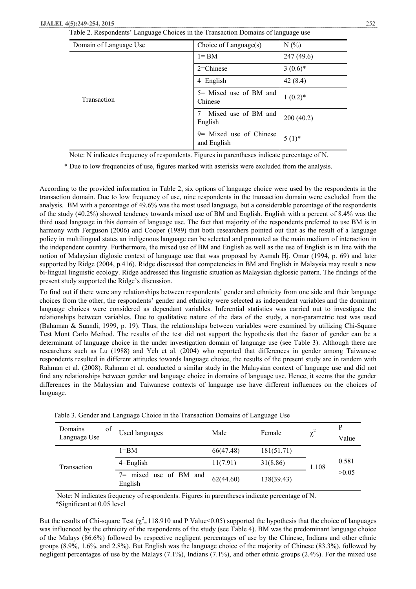| Domain of Language Use | Choice of Language(s)                   | N(%        |
|------------------------|-----------------------------------------|------------|
|                        | $l = BM$                                | 247(49.6)  |
|                        | $2$ =Chinese                            | $3(0.6)^*$ |
|                        | $4 =$ English                           | 42(8.4)    |
| Transaction            | 5 = Mixed use of BM and<br>Chinese      | $1(0.2)^*$ |
|                        | $7=$ Mixed use of BM and<br>English     | 200(40.2)  |
|                        | $9$ Mixed use of Chinese<br>and English | $5(1)^*$   |

Note: N indicates frequency of respondents. Figures in parentheses indicate percentage of N.

\* Due to low frequencies of use, figures marked with asterisks were excluded from the analysis.

According to the provided information in Table 2, six options of language choice were used by the respondents in the transaction domain. Due to low frequency of use, nine respondents in the transaction domain were excluded from the analysis. BM with a percentage of 49.6% was the most used language, but a considerable percentage of the respondents of the study (40.2%) showed tendency towards mixed use of BM and English. English with a percent of 8.4% was the third used language in this domain of language use. The fact that majority of the respondents preferred to use BM is in harmony with Ferguson (2006) and Cooper (1989) that both researchers pointed out that as the result of a language policy in multilingual states an indigenous language can be selected and promoted as the main medium of interaction in the independent country. Furthermore, the mixed use of BM and English as well as the use of English is in line with the notion of Malaysian diglosic context of language use that was proposed by Asmah Hj. Omar (1994, p. 69) and later supported by Ridge (2004, p.416). Ridge discussed that competencies in BM and English in Malaysia may result a new bi-lingual linguistic ecology. Ridge addressed this linguistic situation as Malaysian diglossic pattern. The findings of the present study supported the Ridge's discussion.

To find out if there were any relationships between respondents' gender and ethnicity from one side and their language choices from the other, the respondents' gender and ethnicity were selected as independent variables and the dominant language choices were considered as dependant variables. Inferential statistics was carried out to investigate the relationships between variables. Due to qualitative nature of the data of the study, a non-parametric test was used (Bahaman & Suandi, 1999, p. 19). Thus, the relationships between variables were examined by utilizing Chi-Square Test Mont Carlo Method. The results of the test did not support the hypothesis that the factor of gender can be a determinant of language choice in the under investigation domain of language use (see Table 3). Although there are researchers such as Lu (1988) and Yeh et al. (2004) who reported that differences in gender among Taiwanese respondents resulted in different attitudes towards language choice, the results of the present study are in tandem with Rahman et al. (2008). Rahman et al. conducted a similar study in the Malaysian context of language use and did not find any relationships between gender and language choice in domains of language use. Hence, it seems that the gender differences in the Malaysian and Taiwanese contexts of language use have different influences on the choices of language.

| Domains<br>of<br>Language Use | Used languages                    | Male      | Female     | $\chi^2$ | P<br>Value |
|-------------------------------|-----------------------------------|-----------|------------|----------|------------|
|                               | $1 = BM$                          | 66(47.48) | 181(51.71) |          |            |
| Transaction                   | $4 =$ English                     | 11(7.91)  | 31(8.86)   | 1.108    | 0.581      |
|                               | 7= mixed use of BM and<br>English | 62(44.60) | 138(39.43) |          | >0.05      |

Table 3. Gender and Language Choice in the Transaction Domains of Language Use

 Note: N indicates frequency of respondents. Figures in parentheses indicate percentage of N. \*Significant at 0.05 level

But the results of Chi-square Test ( $\chi^2$  = 118.910 and P Value<0.05) supported the hypothesis that the choice of languages was influenced by the ethnicity of the respondents of the study (see Table 4). BM was the predominant language choice of the Malays (86.6%) followed by respective negligent percentages of use by the Chinese, Indians and other ethnic groups (8.9%, 1.6%, and 2.8%). But English was the language choice of the majority of Chinese (83.3%), followed by negligent percentages of use by the Malays (7.1%), Indians (7.1%), and other ethnic groups (2.4%). For the mixed use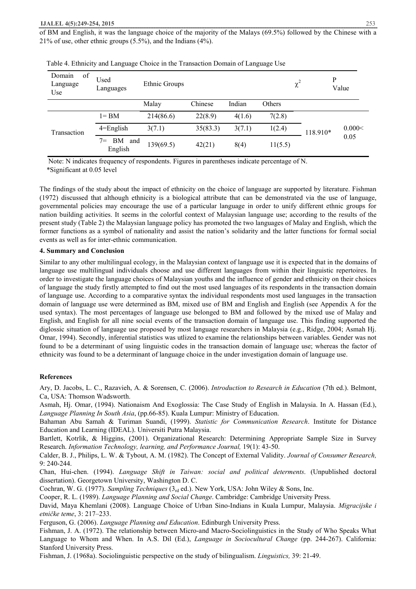of BM and English, it was the language choice of the majority of the Malays (69.5%) followed by the Chinese with a 21% of use, other ethnic groups (5.5%), and the Indians (4%).

| Domain<br>of<br>Language<br>Use | Used<br>Languages             | Ethnic Groups |          |        |               | $\chi^2$ | P        | Value          |
|---------------------------------|-------------------------------|---------------|----------|--------|---------------|----------|----------|----------------|
|                                 |                               | Malay         | Chinese  | Indian | <b>Others</b> |          |          |                |
|                                 | $l = BM$                      | 214(86.6)     | 22(8.9)  | 4(1.6) | 7(2.8)        |          |          |                |
| Transaction                     | $4 =$ English                 | 3(7.1)        | 35(83.3) | 3(7.1) | 1(2.4)        |          | 118.910* | 0.000<<br>0.05 |
|                                 | BM<br>$7 =$<br>and<br>English | 139(69.5)     | 42(21)   | 8(4)   | 11(5.5)       |          |          |                |

| Table 4. Ethnicity and Language Choice in the Transaction Domain of Language Use |  |  |  |
|----------------------------------------------------------------------------------|--|--|--|
|                                                                                  |  |  |  |

 Note: N indicates frequency of respondents. Figures in parentheses indicate percentage of N. \*Significant at 0.05 level

The findings of the study about the impact of ethnicity on the choice of language are supported by literature. Fishman (1972) discussed that although ethnicity is a biological attribute that can be demonstrated via the use of language, governmental policies may encourage the use of a particular language in order to unify different ethnic groups for nation building activities. It seems in the colorful context of Malaysian language use; according to the results of the present study (Table 2) the Malaysian language policy has promoted the two languages of Malay and English, which the former functions as a symbol of nationality and assist the nation's solidarity and the latter functions for formal social events as well as for inter-ethnic communication.

## **4. Summary and Conclusion**

Similar to any other multilingual ecology, in the Malaysian context of language use it is expected that in the domains of language use multilingual individuals choose and use different languages from within their linguistic repertoires. In order to investigate the language choices of Malaysian youths and the influence of gender and ethnicity on their choices of language the study firstly attempted to find out the most used languages of its respondents in the transaction domain of language use. According to a comparative syntax the individual respondents most used languages in the transaction domain of language use were determined as BM, mixed use of BM and English and English (see Appendix A for the used syntax). The most percentages of language use belonged to BM and followed by the mixed use of Malay and English, and English for all nine social events of the transaction domain of language use. This finding supported the diglossic situation of language use proposed by most language researchers in Malaysia (e.g., Ridge, 2004; Asmah Hj. Omar, 1994). Secondly, inferential statistics was utlized to examine the relationships between variables. Gender was not found to be a determinant of using linguistic codes in the transaction domain of language use; whereas the factor of ethnicity was found to be a determinant of language choice in the under investigation domain of language use.

# **References**

Ary, D. Jacobs, L. C., Razavieh, A. & Sorensen, C. (2006). *Introduction to Research in Education* (7th ed.). Belmont, Ca, USA: Thomson Wadsworth.

Asmah, Hj. Omar, (1994). Nationaism And Exoglossia: The Case Study of English in Malaysia. In A. Hassan (Ed.), *Language Planning In South Asia*, (pp.66-85). Kuala Lumpur: Ministry of Education.

Bahaman Abu Samah & Turiman Suandi, (1999). *Statistic for Communication Research*. Institute for Distance Education and Learning (IDEAL). Universiti Putra Malaysia.

Bartlett, Kotrlik, & Higgins, (2001). Organizational Research: Determining Appropriate Sample Size in Survey Research. *Information Technology, learning, and Performance Journal,* 19(1): 43-50.

Calder, B. J., Philips, L. W. & Tybout, A. M. (1982). The Concept of External Validity. *Journal of Consumer Research,*  9: 240-244.

Chan, Hui-chen. (1994). *Language Shift in Taiwan: social and political determents*. (Unpublished doctoral dissertation). Georgetown University, Washington D. C.

Cochran, W. G. (1977). *Sampling Techniques* (3rd ed.). New York, USA: John Wiley & Sons, Inc.

Cooper, R. L. (1989). *Language Planning and Social Change*. Cambridge: Cambridge University Press.

David, Maya Khemlani (2008). Language Choice of Urban Sino-Indians in Kuala Lumpur, Malaysia. *Migracijske i etničke teme*, 3: 217–233.

Ferguson, G. (2006). *Language Planning and Education*. Edinburgh University Press.

Fishman, J. A. (1972). The relationship between Micro-and Macro-Sociolinguistics in the Study of Who Speaks What Language to Whom and When. In A.S. Dil (Ed.), *Language in Sociocultural Change* (pp. 244-267). California: Stanford University Press.

Fishman, J. (1968a). Sociolinguistic perspective on the study of bilingualism. *Linguistics,* 39: 21-49.